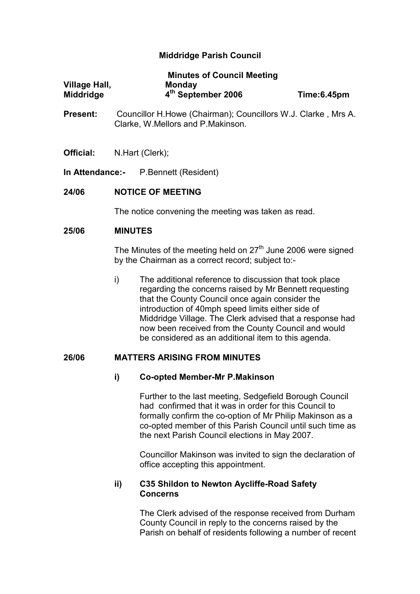# Middridge Parish Council

|                      | <b>Minutes of Council Meeting</b> |             |
|----------------------|-----------------------------------|-------------|
| <b>Village Hall,</b> | <b>Monday</b>                     |             |
| <b>Middridge</b>     | 4 <sup>th</sup> September 2006    | Time:6.45pm |

- Present: Councillor H.Howe (Chairman); Councillors W.J. Clarke , Mrs A. Clarke, W.Mellors and P.Makinson.
- Official: N.Hart (Clerk);

In Attendance:- P.Bennett (Resident)

## 24/06 NOTICE OF MEETING

The notice convening the meeting was taken as read.

## 25/06 MINUTES

The Minutes of the meeting held on  $27<sup>th</sup>$  June 2006 were signed by the Chairman as a correct record; subject to:-

i) The additional reference to discussion that took place regarding the concerns raised by Mr Bennett requesting that the County Council once again consider the introduction of 40mph speed limits either side of Middridge Village. The Clerk advised that a response had now been received from the County Council and would be considered as an additional item to this agenda.

#### 26/06 MATTERS ARISING FROM MINUTES

#### i) Co-opted Member-Mr P.Makinson

Further to the last meeting, Sedgefield Borough Council had confirmed that it was in order for this Council to formally confirm the co-option of Mr Philip Makinson as a co-opted member of this Parish Council until such time as the next Parish Council elections in May 2007.

Councillor Makinson was invited to sign the declaration of office accepting this appointment.

# ii) C35 Shildon to Newton Aycliffe-Road Safety Concerns

The Clerk advised of the response received from Durham County Council in reply to the concerns raised by the Parish on behalf of residents following a number of recent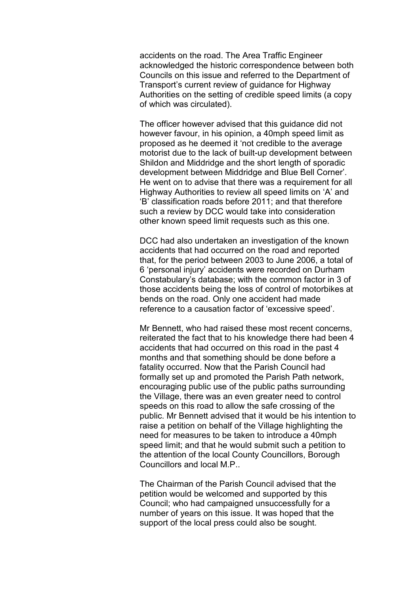accidents on the road. The Area Traffic Engineer acknowledged the historic correspondence between both Councils on this issue and referred to the Department of Transport's current review of guidance for Highway Authorities on the setting of credible speed limits (a copy of which was circulated).

The officer however advised that this guidance did not however favour, in his opinion, a 40mph speed limit as proposed as he deemed it 'not credible to the average motorist due to the lack of built-up development between Shildon and Middridge and the short length of sporadic development between Middridge and Blue Bell Corner'. He went on to advise that there was a requirement for all Highway Authorities to review all speed limits on 'A' and 'B' classification roads before 2011; and that therefore such a review by DCC would take into consideration other known speed limit requests such as this one.

DCC had also undertaken an investigation of the known accidents that had occurred on the road and reported that, for the period between 2003 to June 2006, a total of 6 'personal injury' accidents were recorded on Durham Constabulary's database; with the common factor in 3 of those accidents being the loss of control of motorbikes at bends on the road. Only one accident had made reference to a causation factor of 'excessive speed'.

Mr Bennett, who had raised these most recent concerns, reiterated the fact that to his knowledge there had been 4 accidents that had occurred on this road in the past 4 months and that something should be done before a fatality occurred. Now that the Parish Council had formally set up and promoted the Parish Path network, encouraging public use of the public paths surrounding the Village, there was an even greater need to control speeds on this road to allow the safe crossing of the public. Mr Bennett advised that it would be his intention to raise a petition on behalf of the Village highlighting the need for measures to be taken to introduce a 40mph speed limit; and that he would submit such a petition to the attention of the local County Councillors, Borough Councillors and local M.P..

The Chairman of the Parish Council advised that the petition would be welcomed and supported by this Council; who had campaigned unsuccessfully for a number of years on this issue. It was hoped that the support of the local press could also be sought.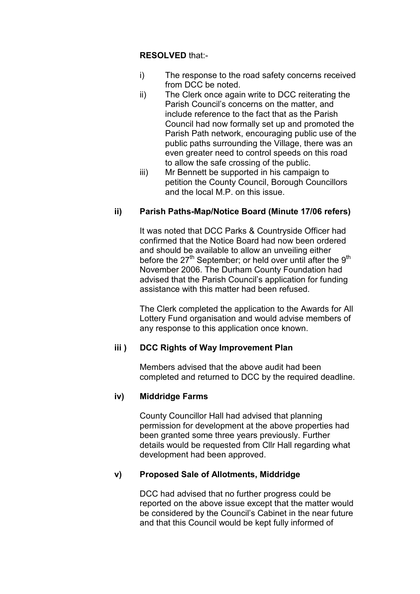# RESOLVED that:-

- i) The response to the road safety concerns received from DCC be noted.
- ii) The Clerk once again write to DCC reiterating the Parish Council's concerns on the matter, and include reference to the fact that as the Parish Council had now formally set up and promoted the Parish Path network, encouraging public use of the public paths surrounding the Village, there was an even greater need to control speeds on this road to allow the safe crossing of the public.
- iii) Mr Bennett be supported in his campaign to petition the County Council, Borough Councillors and the local M.P. on this issue.

# ii) Parish Paths-Map/Notice Board (Minute 17/06 refers)

 It was noted that DCC Parks & Countryside Officer had confirmed that the Notice Board had now been ordered and should be available to allow an unveiling either before the  $27<sup>th</sup>$  September; or held over until after the  $9<sup>th</sup>$ November 2006. The Durham County Foundation had advised that the Parish Council's application for funding assistance with this matter had been refused.

 The Clerk completed the application to the Awards for All Lottery Fund organisation and would advise members of any response to this application once known.

# iii ) DCC Rights of Way Improvement Plan

Members advised that the above audit had been completed and returned to DCC by the required deadline.

# iv) Middridge Farms

County Councillor Hall had advised that planning permission for development at the above properties had been granted some three years previously. Further details would be requested from Cllr Hall regarding what development had been approved.

# v) Proposed Sale of Allotments, Middridge

DCC had advised that no further progress could be reported on the above issue except that the matter would be considered by the Council's Cabinet in the near future and that this Council would be kept fully informed of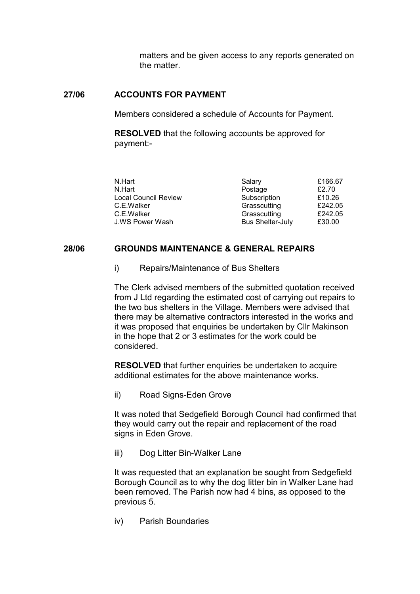matters and be given access to any reports generated on the matter.

## 27/06 ACCOUNTS FOR PAYMENT

Members considered a schedule of Accounts for Payment.

RESOLVED that the following accounts be approved for payment:-

| N.Hart                      | Salary                  | £166.67 |
|-----------------------------|-------------------------|---------|
| N.Hart                      | Postage                 | £2.70   |
| <b>Local Council Review</b> | Subscription            | £10.26  |
| C.E.Walker                  | Grasscutting            | £242.05 |
| C.E.Walker                  | Grasscutting            | £242.05 |
| J.WS Power Wash             | <b>Bus Shelter-July</b> | £30.00  |

## 28/06 GROUNDS MAINTENANCE & GENERAL REPAIRS

i) Repairs/Maintenance of Bus Shelters

The Clerk advised members of the submitted quotation received from J Ltd regarding the estimated cost of carrying out repairs to the two bus shelters in the Village. Members were advised that there may be alternative contractors interested in the works and it was proposed that enquiries be undertaken by Cllr Makinson in the hope that 2 or 3 estimates for the work could be considered.

RESOLVED that further enquiries be undertaken to acquire additional estimates for the above maintenance works.

ii) Road Signs-Eden Grove

It was noted that Sedgefield Borough Council had confirmed that they would carry out the repair and replacement of the road signs in Eden Grove.

iii) Dog Litter Bin-Walker Lane

It was requested that an explanation be sought from Sedgefield Borough Council as to why the dog litter bin in Walker Lane had been removed. The Parish now had 4 bins, as opposed to the previous 5.

iv) Parish Boundaries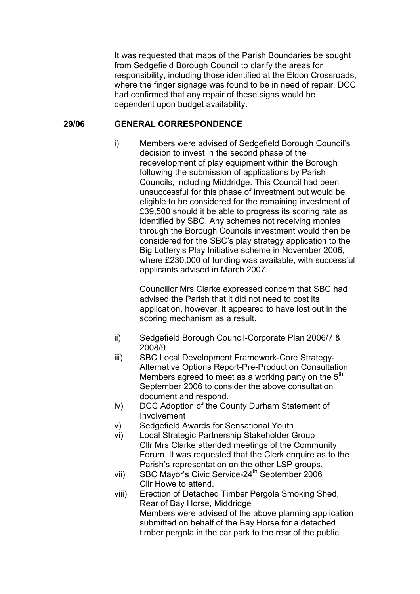It was requested that maps of the Parish Boundaries be sought from Sedgefield Borough Council to clarify the areas for responsibility, including those identified at the Eldon Crossroads, where the finger signage was found to be in need of repair. DCC had confirmed that any repair of these signs would be dependent upon budget availability.

#### 29/06 GENERAL CORRESPONDENCE

i) Members were advised of Sedgefield Borough Council's decision to invest in the second phase of the redevelopment of play equipment within the Borough following the submission of applications by Parish Councils, including Middridge. This Council had been unsuccessful for this phase of investment but would be eligible to be considered for the remaining investment of £39,500 should it be able to progress its scoring rate as identified by SBC. Any schemes not receiving monies through the Borough Councils investment would then be considered for the SBC's play strategy application to the Big Lottery's Play Initiative scheme in November 2006, where £230,000 of funding was available, with successful applicants advised in March 2007.

> Councillor Mrs Clarke expressed concern that SBC had advised the Parish that it did not need to cost its application, however, it appeared to have lost out in the scoring mechanism as a result.

- ii) Sedgefield Borough Council-Corporate Plan 2006/7 & 2008/9
- iii) SBC Local Development Framework-Core Strategy-Alternative Options Report-Pre-Production Consultation Members agreed to meet as a working party on the  $5<sup>th</sup>$ September 2006 to consider the above consultation document and respond.
- iv) DCC Adoption of the County Durham Statement of Involvement
- v) Sedgefield Awards for Sensational Youth
- vi) Local Strategic Partnership Stakeholder Group Cllr Mrs Clarke attended meetings of the Community Forum. It was requested that the Clerk enquire as to the Parish's representation on the other LSP groups.
- vii) SBC Mayor's Civic Service-24<sup>th</sup> September 2006 Cllr Howe to attend.
- viii) Erection of Detached Timber Pergola Smoking Shed, Rear of Bay Horse, Middridge Members were advised of the above planning application submitted on behalf of the Bay Horse for a detached timber pergola in the car park to the rear of the public